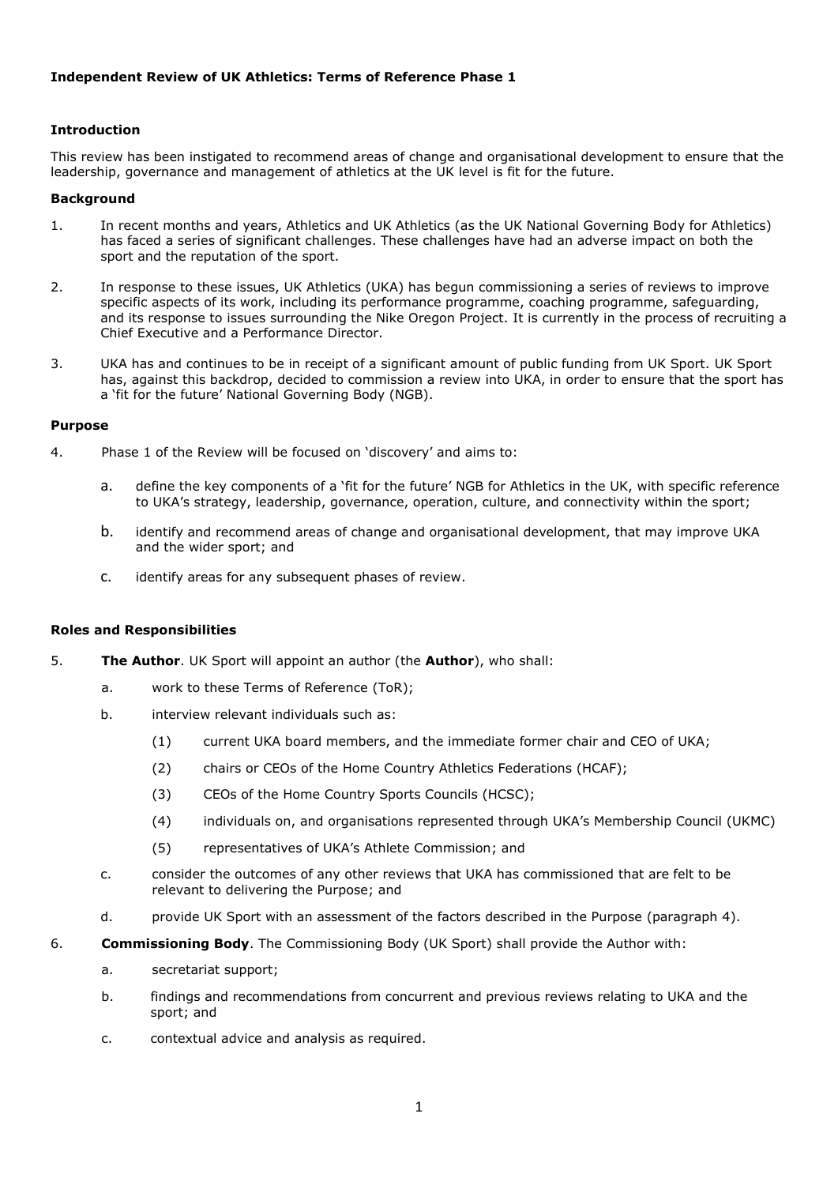## **Independent Review of UK Athletics: Terms of Reference Phase 1**

## **Introduction**

This review has been instigated to recommend areas of change and organisational development to ensure that the leadership, governance and management of athletics at the UK level is fit for the future.

#### **Background**

- 1. In recent months and years, Athletics and UK Athletics (as the UK National Governing Body for Athletics) has faced a series of significant challenges. These challenges have had an adverse impact on both the sport and the reputation of the sport.
- 2. In response to these issues, UK Athletics (UKA) has begun commissioning a series of reviews to improve specific aspects of its work, including its performance programme, coaching programme, safeguarding, and its response to issues surrounding the Nike Oregon Project. It is currently in the process of recruiting a Chief Executive and a Performance Director.
- 3. UKA has and continues to be in receipt of a significant amount of public funding from UK Sport. UK Sport has, against this backdrop, decided to commission a review into UKA, in order to ensure that the sport has a 'fit for the future' National Governing Body (NGB).

#### **Purpose**

- 4. Phase 1 of the Review will be focused on 'discovery' and aims to:
	- a. define the key components of a 'fit for the future' NGB for Athletics in the UK, with specific reference to UKA's strategy, leadership, governance, operation, culture, and connectivity within the sport;
	- b. identify and recommend areas of change and organisational development, that may improve UKA and the wider sport; and
	- c. identify areas for any subsequent phases of review.

#### **Roles and Responsibilities**

- 5. **The Author**. UK Sport will appoint an author (the **Author**), who shall:
	- a. work to these Terms of Reference (ToR);
	- b. interview relevant individuals such as:
		- (1) current UKA board members, and the immediate former chair and CEO of UKA;
		- (2) chairs or CEOs of the Home Country Athletics Federations (HCAF);
		- (3) CEOs of the Home Country Sports Councils (HCSC);
		- (4) individuals on, and organisations represented through UKA's Membership Council (UKMC)
		- (5) representatives of UKA's Athlete Commission; and
	- c. consider the outcomes of any other reviews that UKA has commissioned that are felt to be relevant to delivering the Purpose; and
	- d. provide UK Sport with an assessment of the factors described in the Purpose (paragraph 4).
- 6. **Commissioning Body**. The Commissioning Body (UK Sport) shall provide the Author with:
	- a. secretariat support;
	- b. findings and recommendations from concurrent and previous reviews relating to UKA and the sport; and
	- c. contextual advice and analysis as required.